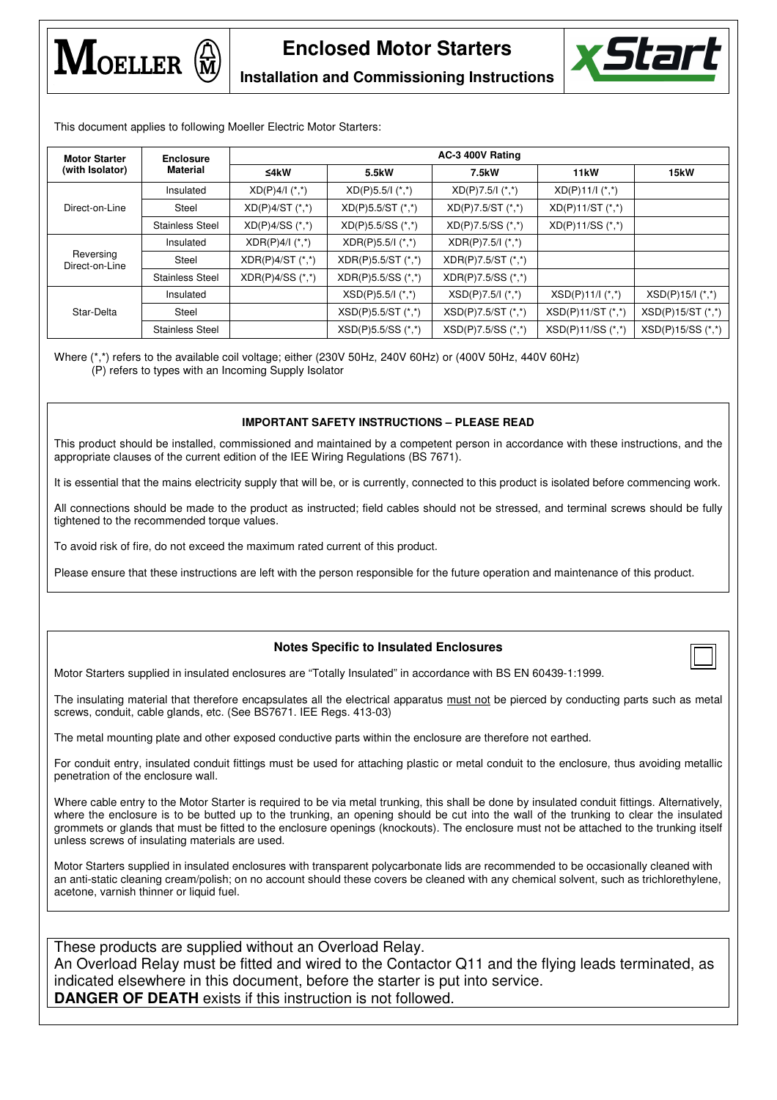





**Installation and Commissioning Instructions**

This document applies to following Moeller Electric Motor Starters:

| <b>Motor Starter</b><br>(with Isolator) | <b>Enclosure</b><br><b>Material</b> | AC-3 400V Rating     |                                           |                            |                                 |                      |  |
|-----------------------------------------|-------------------------------------|----------------------|-------------------------------------------|----------------------------|---------------------------------|----------------------|--|
|                                         |                                     | ≤4 $k$ W             | 5.5kW                                     | 7.5kW                      | 11 <sub>k</sub> W               | <b>15kW</b>          |  |
| Direct-on-Line                          | Insulated                           | $XD(P)4/l$ (*,*)     | $XD(P)5.5/I({*},{*})$                     | $XD(P)7.5/1$ $(*,*)$       | $XD(P)11/I({}_{\cdot,\cdot}^*)$ |                      |  |
|                                         | Steel                               | $XD(P)4/ST$ (*,*)    | $XD(P)5.5/ST$ (*,*)                       | $XD(P)7.5/ST$ (*,*)        | $XD(P)11/ST$ (*,*)              |                      |  |
|                                         | <b>Stainless Steel</b>              | $XD(P)4/SS$ $(*,*)$  | $XD(P)5.5/SS$ (*,*)                       | $XD(P)7.5/SS (*,^*)$       | $XD(P)11/SS$ (*,*)              |                      |  |
| Reversing<br>Direct-on-Line             | Insulated                           | $XDR(P)4/l$ (*,*)    | $XDR(P)5.5/(\tbinom{*}{0},\tbinom{*}{1})$ | $XDR(P)7.5/1$ (*,*)        |                                 |                      |  |
|                                         | Steel                               | $XDR(P)4/ST$ (*,*)   | XDR(P)5.5/ST (*,*)                        | XDR(P)7.5/ST (*,*)         |                                 |                      |  |
|                                         | <b>Stainless Steel</b>              | $XDR(P)4/SS$ $(*,*)$ | $XDR(P)5.5/SS$ (*,*)                      | $XDR(P)7.5/SS$ (*,*)       |                                 |                      |  |
| Star-Delta                              | Insulated                           |                      | $XSD(P)5.5/(\star, \star)$                | $XSD(P)7.5/(\star, \star)$ | $XSD(P)11/I$ $(*,*)$            | $XSD(P)15/I$ $(*,*)$ |  |
|                                         | Steel                               |                      | $XSD(P)5.5/ST$ (*,*)                      | $XSD(P)7.5/ST$ (*,*)       | $XSD(P)11/ST$ (*,*)             | $XSD(P)15/ST$ (*,*)  |  |
|                                         | <b>Stainless Steel</b>              |                      | XSD(P)5.5/SS (*,*)                        | XSD(P)7.5/SS (*,*)         | XSD(P)11/SS (*,*)               | $XSD(P)15/SS$ (*,*)  |  |

Where (\*,\*) refers to the available coil voltage; either (230V 50Hz, 240V 60Hz) or (400V 50Hz, 440V 60Hz) (P) refers to types with an Incoming Supply Isolator

## **IMPORTANT SAFETY INSTRUCTIONS – PLEASE READ**

This product should be installed, commissioned and maintained by a competent person in accordance with these instructions, and the appropriate clauses of the current edition of the IEE Wiring Regulations (BS 7671).

It is essential that the mains electricity supply that will be, or is currently, connected to this product is isolated before commencing work.

All connections should be made to the product as instructed; field cables should not be stressed, and terminal screws should be fully tightened to the recommended torque values.

To avoid risk of fire, do not exceed the maximum rated current of this product.

Please ensure that these instructions are left with the person responsible for the future operation and maintenance of this product.

# **Notes Specific to Insulated Enclosures**



The insulating material that therefore encapsulates all the electrical apparatus must not be pierced by conducting parts such as metal screws, conduit, cable glands, etc. (See BS7671. IEE Regs. 413-03)

The metal mounting plate and other exposed conductive parts within the enclosure are therefore not earthed.

For conduit entry, insulated conduit fittings must be used for attaching plastic or metal conduit to the enclosure, thus avoiding metallic penetration of the enclosure wall.

Where cable entry to the Motor Starter is required to be via metal trunking, this shall be done by insulated conduit fittings. Alternatively, where the enclosure is to be butted up to the trunking, an opening should be cut into the wall of the trunking to clear the insulated grommets or glands that must be fitted to the enclosure openings (knockouts). The enclosure must not be attached to the trunking itself unless screws of insulating materials are used.

Motor Starters supplied in insulated enclosures with transparent polycarbonate lids are recommended to be occasionally cleaned with an anti-static cleaning cream/polish; on no account should these covers be cleaned with any chemical solvent, such as trichlorethylene, acetone, varnish thinner or liquid fuel.

These products are supplied without an Overload Relay. An Overload Relay must be fitted and wired to the Contactor Q11 and the flying leads terminated, as indicated elsewhere in this document, before the starter is put into service. **DANGER OF DEATH** exists if this instruction is not followed.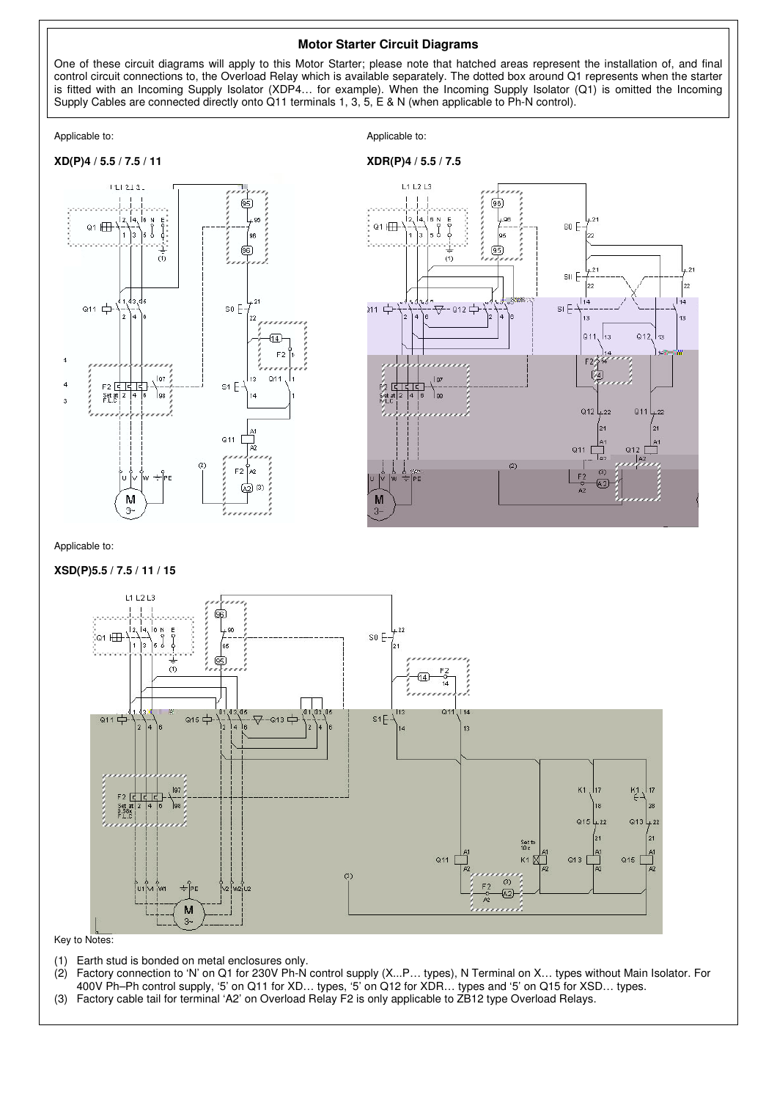## **Motor Starter Circuit Diagrams**

One of these circuit diagrams will apply to this Motor Starter; please note that hatched areas represent the installation of, and final control circuit connections to, the Overload Relay which is available separately. The dotted box around Q1 represents when the starter is fitted with an Incoming Supply Isolator (XDP4… for example). When the Incoming Supply Isolator (Q1) is omitted the Incoming Supply Cables are connected directly onto Q11 terminals 1, 3, 5, E & N (when applicable to Ph-N control).

Applicable to: Applicable to: Applicable to: Applicable to: Applicable to: Applicable to: Applicable to: Applicable to: Applicable to: Applicable to: Applicable to: Applicable to: Applicable to: Applicable to: Applicable t





#### Applicable to:

#### **XSD(P)5.5 / 7.5 / 11 / 15**



Key to Notes:

- (1) Earth stud is bonded on metal enclosures only.
- (2) Factory connection to 'N' on Q1 for 230V Ph-N control supply (X...P… types), N Terminal on X… types without Main Isolator. For 400V Ph–Ph control supply, '5' on Q11 for XD… types, '5' on Q12 for XDR… types and '5' on Q15 for XSD… types.
- (3) Factory cable tail for terminal 'A2' on Overload Relay F2 is only applicable to ZB12 type Overload Relays.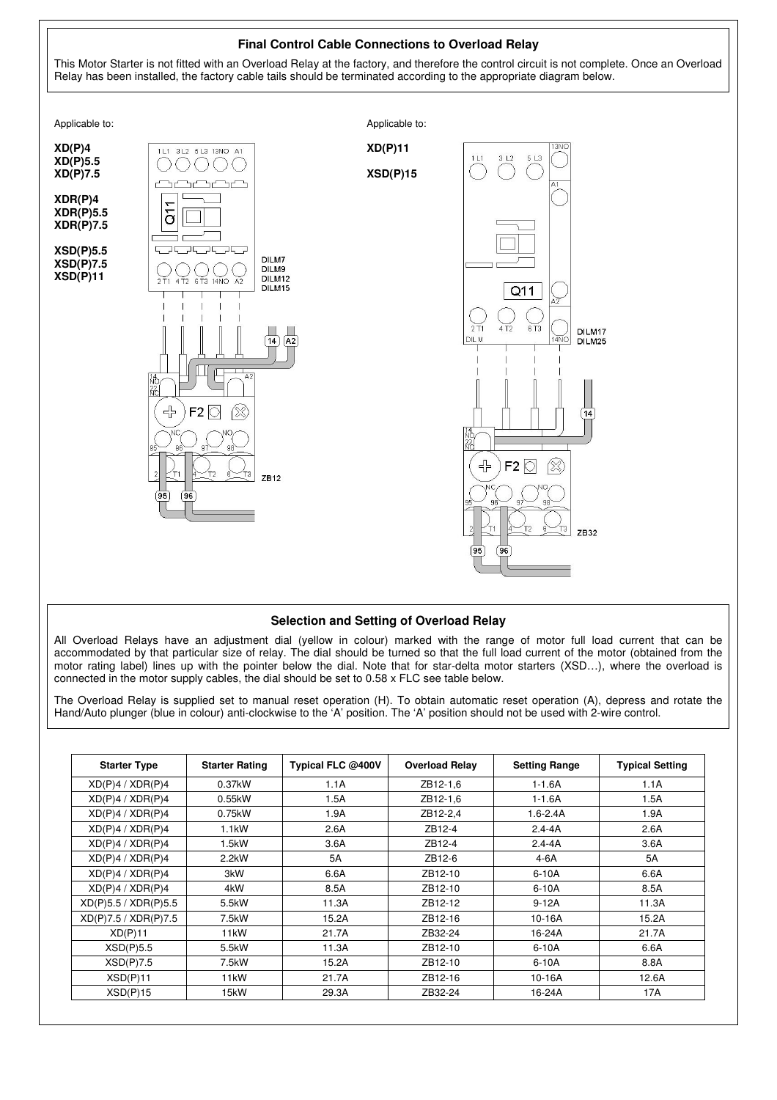

# **Selection and Setting of Overload Relay**

All Overload Relays have an adjustment dial (yellow in colour) marked with the range of motor full load current that can be accommodated by that particular size of relay. The dial should be turned so that the full load current of the motor (obtained from the motor rating label) lines up with the pointer below the dial. Note that for star-delta motor starters (XSD…), where the overload is connected in the motor supply cables, the dial should be set to 0.58 x FLC see table below.

The Overload Relay is supplied set to manual reset operation (H). To obtain automatic reset operation (A), depress and rotate the Hand/Auto plunger (blue in colour) anti-clockwise to the 'A' position. The 'A' position should not be used with 2-wire control.

| <b>Starter Type</b>  | <b>Starter Rating</b> | Typical FLC @400V | <b>Overload Relay</b> | <b>Setting Range</b> | <b>Typical Setting</b> |
|----------------------|-----------------------|-------------------|-----------------------|----------------------|------------------------|
| XD(P)4 / XOR(P)4     | 0.37kW                | 1.1A              | ZB12-1,6              | $1 - 1.6A$           | 1.1A                   |
| XD(P)4 / XOR(P)4     | 0.55kW                | 1.5A              | ZB12-1,6              | $1 - 1.6A$           | 1.5A                   |
| XD(P)4 / XOR(P)4     | 0.75kW                | 1.9A              | ZB12-2,4              | $1.6 - 2.4A$         | 1.9A                   |
| XD(P)4 / XOR(P)4     | $1.1$ kW              | 2.6A              | ZB12-4                | $2.4 - 4A$           | 2.6A                   |
| XD(P)4 / XOR(P)4     | 1.5kW                 | 3.6A              | ZB12-4                | $2.4 - 4A$           | 3.6A                   |
| XD(P)4 / XOR(P)4     | $2.2$ kW              | 5A                | ZB12-6                | 4-6A                 | 5A                     |
| XD(P)4 / XOR(P)4     | 3kW                   | 6.6A              | ZB12-10               | $6-10A$              | 6.6A                   |
| XD(P)4 / XOR(P)4     | 4kW                   | 8.5A              | ZB12-10               | $6-10A$              | 8.5A                   |
| XD(P)5.5 / XOR(P)5.5 | 5.5kW                 | 11.3A             | ZB12-12               | $9-12A$              | 11.3A                  |
| XD(P)7.5 / XOR(P)7.5 | 7.5kW                 | 15.2A             | ZB12-16               | 10-16A               | 15.2A                  |
| XD(P)11              | 11 <sub>k</sub> W     | 21.7A             | ZB32-24               | 16-24A               | 21.7A                  |
| XSD(P)5.5            | 5.5kW                 | 11.3A             | ZB12-10               | $6-10A$              | 6.6A                   |
| XSD(P)7.5            | 7.5kW                 | 15.2A             | ZB12-10               | $6-10A$              | 8.8A                   |
| XSD(P)11             | 11 <sub>k</sub> W     | 21.7A             | ZB12-16               | 10-16A               | 12.6A                  |
| XSD(P)15             | 15kW                  | 29.3A             | ZB32-24               | 16-24A               | 17A                    |